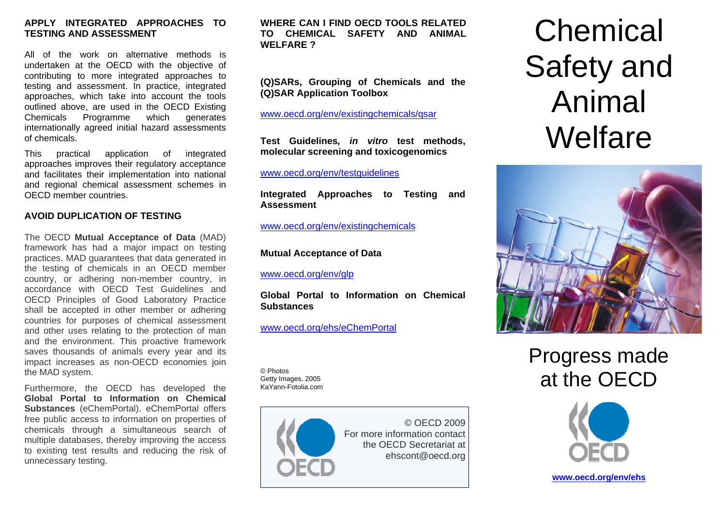### **APPLY INTEGRATED APPROACHES TO TESTING AND ASSESSMENT**

All of the work on alternative methods is undertaken at the OECD with the objective of contributing to more integrated approaches to testing and assessment. In practice, integrated approaches, which take into account the tools outlined above, are used in the OECD Existing Chemicals Programme which generates internationally agreed initial hazard assessments of chemicals.

This practical application of integrated approaches improves their regulatory acceptance and facilitates their implementation into national and regional chemical assessment schemes in OECD member countries.

# **AVOID DUPLICATION OF TESTING**

The OECD **Mutual Acceptance of Data** (MAD) framework has had a major impact on testing practices. MAD guarantees that data generated in the testing of chemicals in an OECD member country, or adhering non-member country, in accordance with OECD Test Guidelines and OECD Principles of Good Laboratory Practice shall be accepted in other member or adhering countries for purposes of chemical assessment and other uses relating to the protection of man and the environment. This proactive framework saves thousands of animals every year and its impact increases as non-OECD economies join the MAD system.

Furthermore, the OECD has developed the **Global Portal to Information on Chemical Substances** (eChemPortal). eChemPortal offers free public access to information on properties of chemicals through a simultaneous search of multiple databases, thereby improving the access to existing test results and reducing the risk of unnecessary testing.

**WHERE CAN I FIND OECD TOOLS RELATED TO CHEMICAL SAFETY AND ANIMAL WELFARE ?** 

**(Q)SARs, Grouping of Chemicals and the (Q)SAR Application Toolbox** 

[www.oecd.org/env/existingchemicals/qsar](http://www.oecd.org/env/existingchemicals/qsar)

**Test Guidelines***, in vitro* **test methods, molecular screening and toxicogenomics** 

#### [www.oecd.org/env/testguidelines](http://www.oecd.org/env/testguidelines)

**Integrated Approaches to Testing and Assessment** 

[www.oecd.org/env/existingchemicals](http://www.oecd.org/env/existingchemicals)

**Mutual Acceptance of Data** 

[www.oecd.org/env/glp](http://www.oecd.org/env/glp)

**Global Portal to Information on Chemical Substances** 

[www.oecd.org/ehs/eChemPortal](http://www.oecd.org/ehs/eChemPortal)

© Photos Getty Images, 2005 KaYann-Fotolia.com



# **Chemical** Safety and Animal **Welfare**



# Progress made at the OECD



**www.o e [cd.org/env/ehs](http://www.oecd.org/env/ehs)**